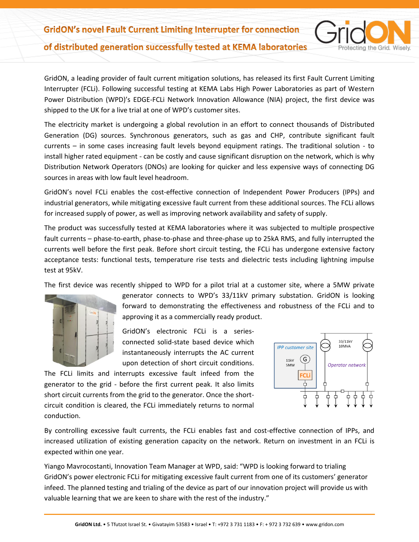GridON, a leading provider of fault current mitigation solutions, has released its first Fault Current Limiting Interrupter (FCLi). Following successful testing at KEMA Labs High Power Laboratories as part of Western Power Distribution (WPD)'s EDGE-FCLi Network Innovation Allowance (NIA) project, the first device was shipped to the UK for a live trial at one of WPD's customer sites.

The electricity market is undergoing a global revolution in an effort to connect thousands of Distributed Generation (DG) sources. Synchronous generators, such as gas and CHP, contribute significant fault currents – in some cases increasing fault levels beyond equipment ratings. The traditional solution - to install higher rated equipment - can be costly and cause significant disruption on the network, which is why Distribution Network Operators (DNOs) are looking for quicker and less expensive ways of connecting DG sources in areas with low fault level headroom.

GridON's novel FCLi enables the cost-effective connection of Independent Power Producers (IPPs) and industrial generators, while mitigating excessive fault current from these additional sources. The FCLi allows for increased supply of power, as well as improving network availability and safety of supply.

The product was successfully tested at KEMA laboratories where it was subjected to multiple prospective fault currents – phase-to-earth, phase-to-phase and three-phase up to 25kA RMS, and fully interrupted the currents well before the first peak. Before short circuit testing, the FCLi has undergone extensive factory acceptance tests: functional tests, temperature rise tests and dielectric tests including lightning impulse test at 95kV.

The first device was recently shipped to WPD for a pilot trial at a customer site, where a 5MW private



generator connects to WPD's 33/11kV primary substation. GridON is looking forward to demonstrating the effectiveness and robustness of the FCLi and to approving it as a commercially ready product.

GridON's electronic FCLi is a seriesconnected solid-state based device which instantaneously interrupts the AC current upon detection of short circuit conditions.

The FCLi limits and interrupts excessive fault infeed from the generator to the grid - before the first current peak. It also limits short circuit currents from the grid to the generator. Once the shortcircuit condition is cleared, the FCLi immediately returns to normal conduction.



otecting the Grid. Wisely.

By controlling excessive fault currents, the FCLi enables fast and cost-effective connection of IPPs, and increased utilization of existing generation capacity on the network. Return on investment in an FCLi is expected within one year.

Yiango Mavrocostanti, Innovation Team Manager at WPD, said: "WPD is looking forward to trialing GridON's power electronic FCLi for mitigating excessive fault current from one of its customers' generator infeed. The planned testing and trialing of the device as part of our innovation project will provide us with valuable learning that we are keen to share with the rest of the industry."